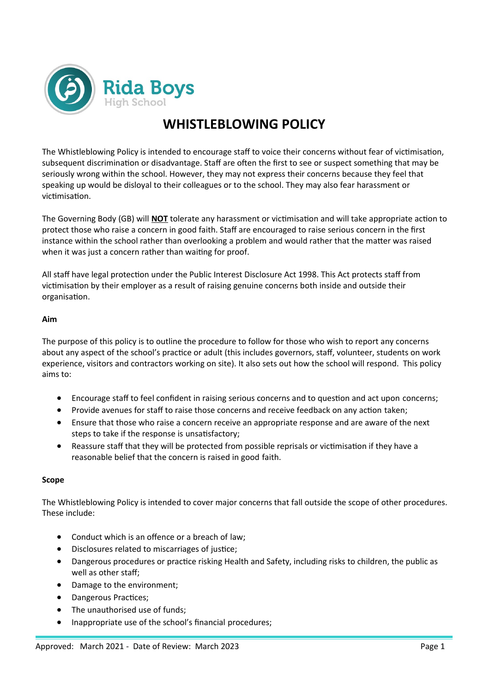

# **WHISTLEBLOWING POLICY**

The Whistleblowing Policy is intended to encourage staff to voice their concerns without fear of victimisation, subsequent discrimination or disadvantage. Staff are often the first to see or suspect something that may be seriously wrong within the school. However, they may not express their concerns because they feel that speaking up would be disloyal to their colleagues or to the school. They may also fear harassment or victimisation.

The Governing Body (GB) will **NOT** tolerate any harassment or victimisation and will take appropriate action to protect those who raise a concern in good faith. Staff are encouraged to raise serious concern in the first instance within the school rather than overlooking a problem and would rather that the matter was raised when it was just a concern rather than waiting for proof.

All staff have legal protection under the Public Interest Disclosure Act 1998. This Act protects staff from victimisation by their employer as a result of raising genuine concerns both inside and outside their organisation.

# **Aim**

The purpose of this policy is to outline the procedure to follow for those who wish to report any concerns about any aspect of the school's practice or adult (this includes governors, staff, volunteer, students on work experience, visitors and contractors working on site). It also sets out how the school will respond. This policy aims to:

- Encourage staff to feel confident in raising serious concerns and to question and act upon concerns;
- Provide avenues for staff to raise those concerns and receive feedback on any action taken;
- Ensure that those who raise a concern receive an appropriate response and are aware of the next steps to take if the response is unsatisfactory;
- Reassure staff that they will be protected from possible reprisals or victimisation if they have a reasonable belief that the concern is raised in good faith.

# **Scope**

The Whistleblowing Policy is intended to cover major concerns that fall outside the scope of other procedures. These include:

- Conduct which is an offence or a breach of law;
- Disclosures related to miscarriages of justice;
- Dangerous procedures or practice risking Health and Safety, including risks to children, the public as well as other staff;
- Damage to the environment;
- Dangerous Practices;
- The unauthorised use of funds;
- Inappropriate use of the school's financial procedures;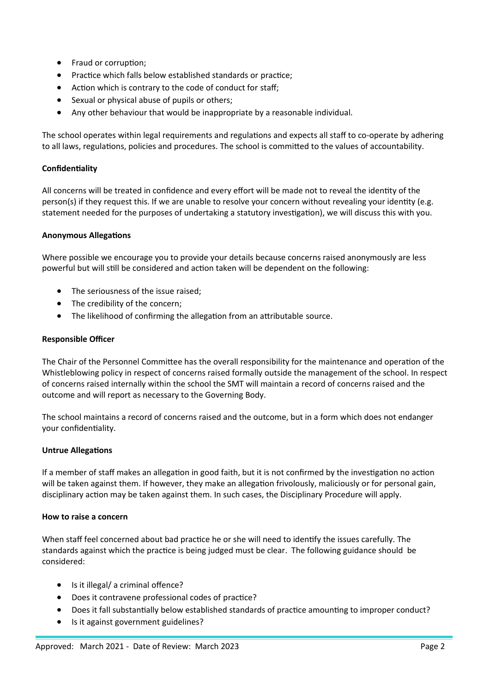- Fraud or corruption;
- Practice which falls below established standards or practice;
- Action which is contrary to the code of conduct for staff;
- Sexual or physical abuse of pupils or others;
- Any other behaviour that would be inappropriate by a reasonable individual.

The school operates within legal requirements and regulations and expects all staff to co-operate by adhering to all laws, regulations, policies and procedures. The school is committed to the values of accountability.

# **Confidentiality**

All concerns will be treated in confidence and every effort will be made not to reveal the identity of the person(s) if they request this. If we are unable to resolve your concern without revealing your identity (e.g. statement needed for the purposes of undertaking a statutory investigation), we will discuss this with you.

# **Anonymous Allegations**

Where possible we encourage you to provide your details because concerns raised anonymously are less powerful but will still be considered and action taken will be dependent on the following:

- The seriousness of the issue raised;
- The credibility of the concern;
- The likelihood of confirming the allegation from an attributable source.

# **Responsible Officer**

The Chair of the Personnel Committee has the overall responsibility for the maintenance and operation of the Whistleblowing policy in respect of concerns raised formally outside the management of the school. In respect of concerns raised internally within the school the SMT will maintain a record of concerns raised and the outcome and will report as necessary to the Governing Body.

The school maintains a record of concerns raised and the outcome, but in a form which does not endanger your confidentiality.

#### **Untrue Allegations**

If a member of staff makes an allegation in good faith, but it is not confirmed by the investigation no action will be taken against them. If however, they make an allegation frivolously, maliciously or for personal gain, disciplinary action may be taken against them. In such cases, the Disciplinary Procedure will apply.

#### **How to raise a concern**

When staff feel concerned about bad practice he or she will need to identify the issues carefully. The standards against which the practice is being judged must be clear. The following guidance should be considered:

- Is it illegal/ a criminal offence?
- Does it contravene professional codes of practice?
- Does it fall substantially below established standards of practice amounting to improper conduct?
- Is it against government guidelines?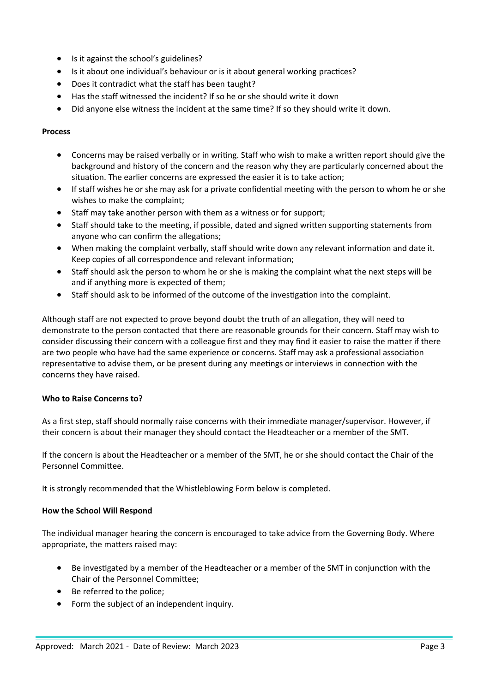- Is it against the school's guidelines?
- Is it about one individual's behaviour or is it about general working practices?
- Does it contradict what the staff has been taught?
- Has the staff witnessed the incident? If so he or she should write it down
- Did anyone else witness the incident at the same time? If so they should write it down.

#### **Process**

- Concerns may be raised verbally or in writing. Staff who wish to make a written report should give the background and history of the concern and the reason why they are particularly concerned about the situation. The earlier concerns are expressed the easier it is to take action;
- If staff wishes he or she may ask for a private confidential meeting with the person to whom he or she wishes to make the complaint;
- Staff may take another person with them as a witness or for support;
- Staff should take to the meeting, if possible, dated and signed written supporting statements from anyone who can confirm the allegations;
- When making the complaint verbally, staff should write down any relevant information and date it. Keep copies of all correspondence and relevant information;
- Staff should ask the person to whom he or she is making the complaint what the next steps will be and if anything more is expected of them;
- Staff should ask to be informed of the outcome of the investigation into the complaint.

Although staff are not expected to prove beyond doubt the truth of an allegation, they will need to demonstrate to the person contacted that there are reasonable grounds for their concern. Staff may wish to consider discussing their concern with a colleague first and they may find it easier to raise the matter if there are two people who have had the same experience or concerns. Staff may ask a professional association representative to advise them, or be present during any meetings or interviews in connection with the concerns they have raised.

# **Who to Raise Concerns to?**

As a first step, staff should normally raise concerns with their immediate manager/supervisor. However, if their concern is about their manager they should contact the Headteacher or a member of the SMT.

If the concern is about the Headteacher or a member of the SMT, he or she should contact the Chair of the Personnel Committee.

It is strongly recommended that the Whistleblowing Form below is completed.

#### **How the School Will Respond**

The individual manager hearing the concern is encouraged to take advice from the Governing Body. Where appropriate, the matters raised may:

- Be investigated by a member of the Headteacher or a member of the SMT in conjunction with the Chair of the Personnel Committee;
- Be referred to the police;
- Form the subject of an independent inquiry.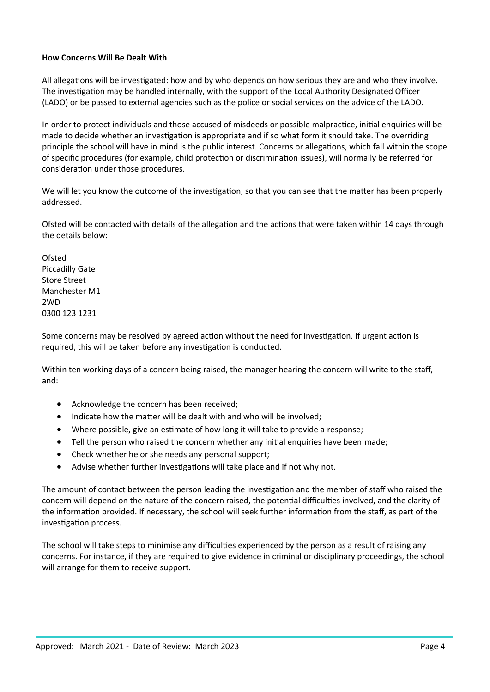# **How Concerns Will Be Dealt With**

All allegations will be investigated: how and by who depends on how serious they are and who they involve. The investigation may be handled internally, with the support of the Local Authority Designated Officer (LADO) or be passed to external agencies such as the police or social services on the advice of the LADO.

In order to protect individuals and those accused of misdeeds or possible malpractice, initial enquiries will be made to decide whether an investigation is appropriate and if so what form it should take. The overriding principle the school will have in mind is the public interest. Concerns or allegations, which fall within the scope of specific procedures (for example, child protection or discrimination issues), will normally be referred for consideration under those procedures.

We will let you know the outcome of the investigation, so that you can see that the matter has been properly addressed.

Ofsted will be contacted with details of the allegation and the actions that were taken within 14 days through the details below:

**Ofsted** Piccadilly Gate Store Street Manchester M1 2WD 0300 123 1231

Some concerns may be resolved by agreed action without the need for investigation. If urgent action is required, this will be taken before any investigation is conducted.

Within ten working days of a concern being raised, the manager hearing the concern will write to the staff, and:

- Acknowledge the concern has been received;
- Indicate how the matter will be dealt with and who will be involved;
- Where possible, give an estimate of how long it will take to provide a response;
- Tell the person who raised the concern whether any initial enquiries have been made;
- Check whether he or she needs any personal support;
- Advise whether further investigations will take place and if not why not.

The amount of contact between the person leading the investigation and the member of staff who raised the concern will depend on the nature of the concern raised, the potential difficulties involved, and the clarity of the information provided. If necessary, the school will seek further information from the staff, as part of the investigation process.

The school will take steps to minimise any difficulties experienced by the person as a result of raising any concerns. For instance, if they are required to give evidence in criminal or disciplinary proceedings, the school will arrange for them to receive support.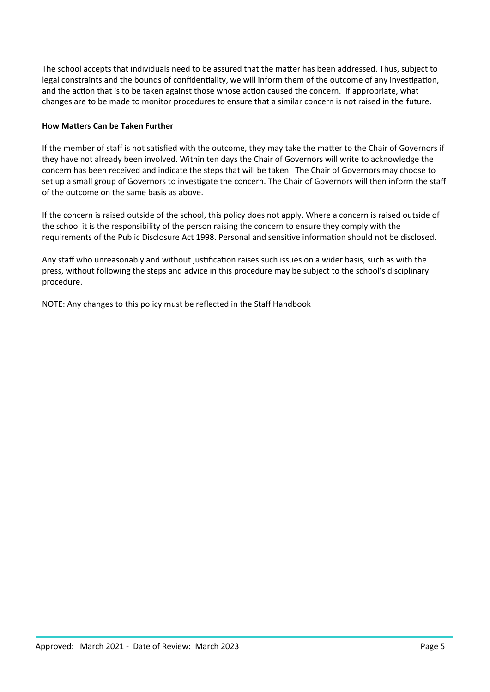The school accepts that individuals need to be assured that the matter has been addressed. Thus, subject to legal constraints and the bounds of confidentiality, we will inform them of the outcome of any investigation, and the action that is to be taken against those whose action caused the concern. If appropriate, what changes are to be made to monitor procedures to ensure that a similar concern is not raised in the future.

# **How Matters Can be Taken Further**

If the member of staff is not satisfied with the outcome, they may take the matter to the Chair of Governors if they have not already been involved. Within ten days the Chair of Governors will write to acknowledge the concern has been received and indicate the steps that will be taken. The Chair of Governors may choose to set up a small group of Governors to investigate the concern. The Chair of Governors will then inform the staff of the outcome on the same basis as above.

If the concern is raised outside of the school, this policy does not apply. Where a concern is raised outside of the school it is the responsibility of the person raising the concern to ensure they comply with the requirements of the Public Disclosure Act 1998. Personal and sensitive information should not be disclosed.

Any staff who unreasonably and without justification raises such issues on a wider basis, such as with the press, without following the steps and advice in this procedure may be subject to the school's disciplinary procedure.

NOTE: Any changes to this policy must be reflected in the Staff Handbook